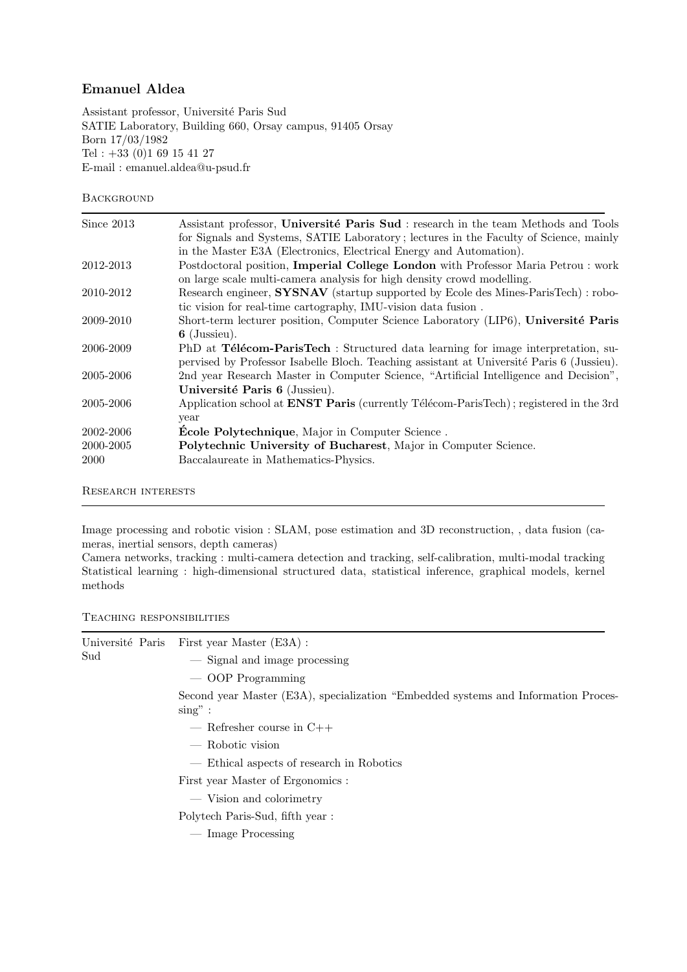## Emanuel Aldea

Assistant professor, Université Paris Sud SATIE Laboratory, Building 660, Orsay campus, 91405 Orsay Born 17/03/1982 Tel :  $+33$  (0)1 69 15 41 27 E-mail : emanuel.aldea@u-psud.fr

## **BACKGROUND**

| Since 2013 | Assistant professor, Université Paris Sud : research in the team Methods and Tools           |
|------------|----------------------------------------------------------------------------------------------|
|            | for Signals and Systems, SATIE Laboratory; lectures in the Faculty of Science, mainly        |
|            | in the Master E3A (Electronics, Electrical Energy and Automation).                           |
| 2012-2013  | Postdoctoral position, Imperial College London with Professor Maria Petrou : work            |
|            | on large scale multi-camera analysis for high density crowd modelling.                       |
| 2010-2012  | Research engineer, SYSNAV (startup supported by Ecole des Mines-ParisTech) : robo-           |
|            | tic vision for real-time cartography, IMU-vision data fusion.                                |
| 2009-2010  | Short-term lecturer position, Computer Science Laboratory (LIP6), Université Paris           |
|            | $6$ (Jussieu).                                                                               |
| 2006-2009  | PhD at <b>Télécom-ParisTech</b> : Structured data learning for image interpretation, su-     |
|            | pervised by Professor Isabelle Bloch. Teaching assistant at Université Paris 6 (Jussieu).    |
| 2005-2006  | 2nd year Research Master in Computer Science, "Artificial Intelligence and Decision",        |
|            | Université Paris 6 (Jussieu).                                                                |
| 2005-2006  | Application school at <b>ENST Paris</b> (currently Télécom-ParisTech); registered in the 3rd |
|            | year                                                                                         |
| 2002-2006  | <b>École Polytechnique</b> , Major in Computer Science.                                      |
| 2000-2005  | Polytechnic University of Bucharest, Major in Computer Science.                              |
| 2000       | Baccalaureate in Mathematics-Physics.                                                        |
|            |                                                                                              |

Research interests

Image processing and robotic vision : SLAM, pose estimation and 3D reconstruction, , data fusion (cameras, inertial sensors, depth cameras)

Camera networks, tracking : multi-camera detection and tracking, self-calibration, multi-modal tracking Statistical learning : high-dimensional structured data, statistical inference, graphical models, kernel methods

Teaching responsibilities

| $\operatorname{Sud}$ |  | Université Paris First year Master (E3A) :                                                        |
|----------------------|--|---------------------------------------------------------------------------------------------------|
|                      |  | — Signal and image processing                                                                     |
|                      |  | — OOP Programming                                                                                 |
|                      |  | Second year Master (E3A), specialization "Embedded systems and Information Proces-<br>$\sin g$ ": |
|                      |  | $-$ Refresher course in C++                                                                       |
|                      |  | — Robotic vision                                                                                  |
|                      |  | — Ethical aspects of research in Robotics                                                         |
|                      |  | First year Master of Ergonomics :                                                                 |
|                      |  | — Vision and colorimetry                                                                          |
|                      |  | Polytech Paris-Sud, fifth year:                                                                   |
|                      |  | — Image Processing                                                                                |
|                      |  |                                                                                                   |